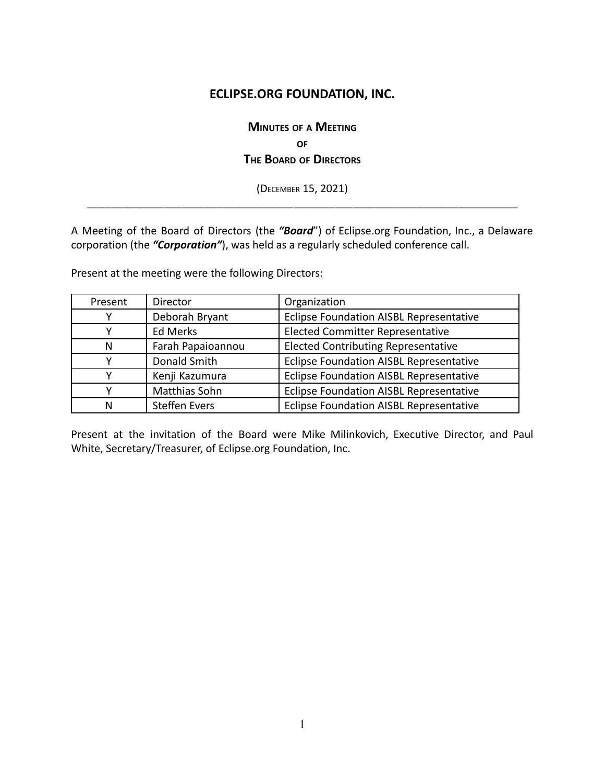# **ECLIPSE.ORG FOUNDATION, INC.**

# **MINUTES OF <sup>A</sup> MEETING OF THE BOARD OF DIRECTORS**

(DECEMBER 15, 2021) \_\_\_\_\_\_\_\_\_\_\_\_\_\_\_\_\_\_\_\_\_\_\_\_\_\_\_\_\_\_\_\_\_\_\_\_\_\_\_\_\_\_\_\_\_\_\_\_\_\_\_\_\_\_\_\_\_\_\_\_\_\_\_\_\_\_\_\_\_\_\_\_\_

A Meeting of the Board of Directors (the *"Board*") of Eclipse.org Foundation, Inc., a Delaware corporation (the *"Corporation"*), was held as a regularly scheduled conference call.

Present at the meeting were the following Directors:

| Present | Director             | Organization                                   |
|---------|----------------------|------------------------------------------------|
|         | Deborah Bryant       | Eclipse Foundation AISBL Representative        |
|         | Ed Merks             | <b>Elected Committer Representative</b>        |
| N       | Farah Papaioannou    | <b>Elected Contributing Representative</b>     |
|         | Donald Smith         | <b>Eclipse Foundation AISBL Representative</b> |
|         | Kenji Kazumura       | Eclipse Foundation AISBL Representative        |
|         | Matthias Sohn        | Eclipse Foundation AISBL Representative        |
| Ν       | <b>Steffen Evers</b> | <b>Eclipse Foundation AISBL Representative</b> |

Present at the invitation of the Board were Mike Milinkovich, Executive Director, and Paul White, Secretary/Treasurer, of Eclipse.org Foundation, Inc.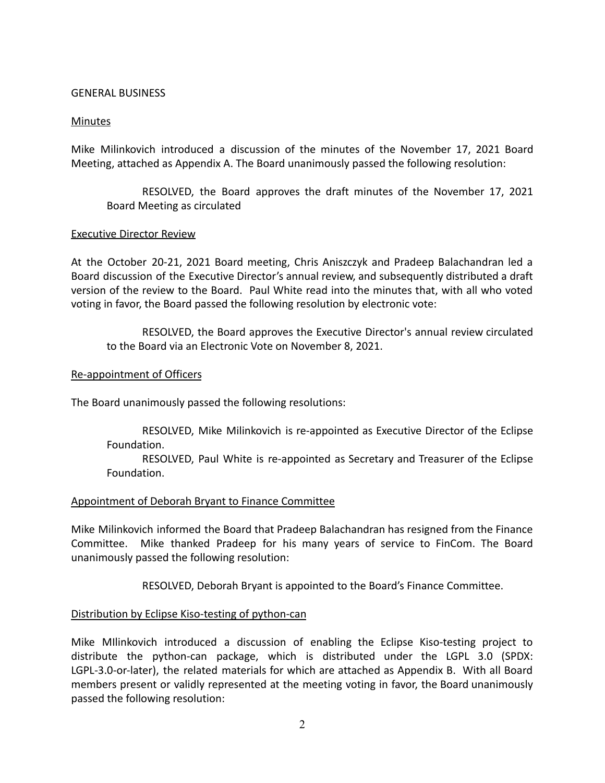#### GENERAL BUSINESS

#### Minutes

Mike Milinkovich introduced a discussion of the minutes of the November 17, 2021 Board Meeting, attached as Appendix A. The Board unanimously passed the following resolution:

RESOLVED, the Board approves the draft minutes of the November 17, 2021 Board Meeting as circulated

#### Executive Director Review

At the October 20-21, 2021 Board meeting, Chris Aniszczyk and Pradeep Balachandran led a Board discussion of the Executive Director's annual review, and subsequently distributed a draft version of the review to the Board. Paul White read into the minutes that, with all who voted voting in favor, the Board passed the following resolution by electronic vote:

RESOLVED, the Board approves the Executive Director's annual review circulated to the Board via an Electronic Vote on November 8, 2021.

## Re-appointment of Officers

The Board unanimously passed the following resolutions:

RESOLVED, Mike Milinkovich is re-appointed as Executive Director of the Eclipse Foundation.

RESOLVED, Paul White is re-appointed as Secretary and Treasurer of the Eclipse Foundation.

#### Appointment of Deborah Bryant to Finance Committee

Mike Milinkovich informed the Board that Pradeep Balachandran has resigned from the Finance Committee. Mike thanked Pradeep for his many years of service to FinCom. The Board unanimously passed the following resolution:

RESOLVED, Deborah Bryant is appointed to the Board's Finance Committee.

# Distribution by Eclipse Kiso-testing of python-can

Mike MIlinkovich introduced a discussion of enabling the Eclipse Kiso-testing project to distribute the python-can package, which is distributed under the LGPL 3.0 (SPDX: LGPL-3.0-or-later), the related materials for which are attached as Appendix B. With all Board members present or validly represented at the meeting voting in favor, the Board unanimously passed the following resolution: